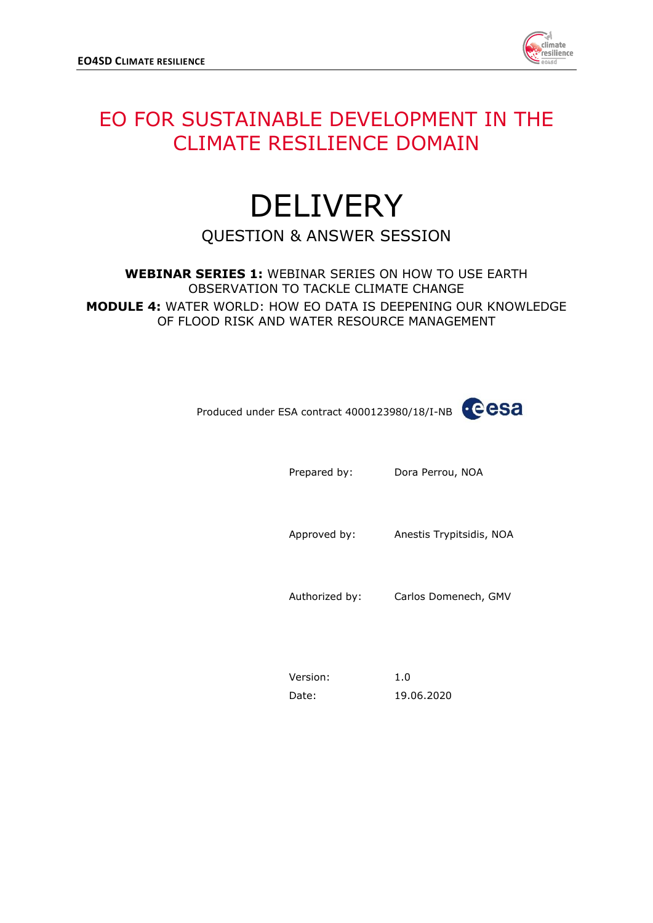

## EO FOR SUSTAINABLE DEVELOPMENT IN THE CLIMATE RESILIENCE DOMAIN

# **DELIVERY** QUESTION & ANSWER SESSION

**WEBINAR SERIES 1:** WEBINAR SERIES ON HOW TO USE EARTH OBSERVATION TO TACKLE CLIMATE CHANGE **MODULE 4:** WATER WORLD: HOW EO DATA IS DEEPENING OUR KNOWLEDGE OF FLOOD RISK AND WATER RESOURCE MANAGEMENT

Produced under ESA contract 4000123980/18/I-NB

Prepared by: Dora Perrou, NOA

Approved by: Anestis Trypitsidis, NOA

Authorized by: Carlos Domenech, GMV

Version: 1.0 Date: 19.06.2020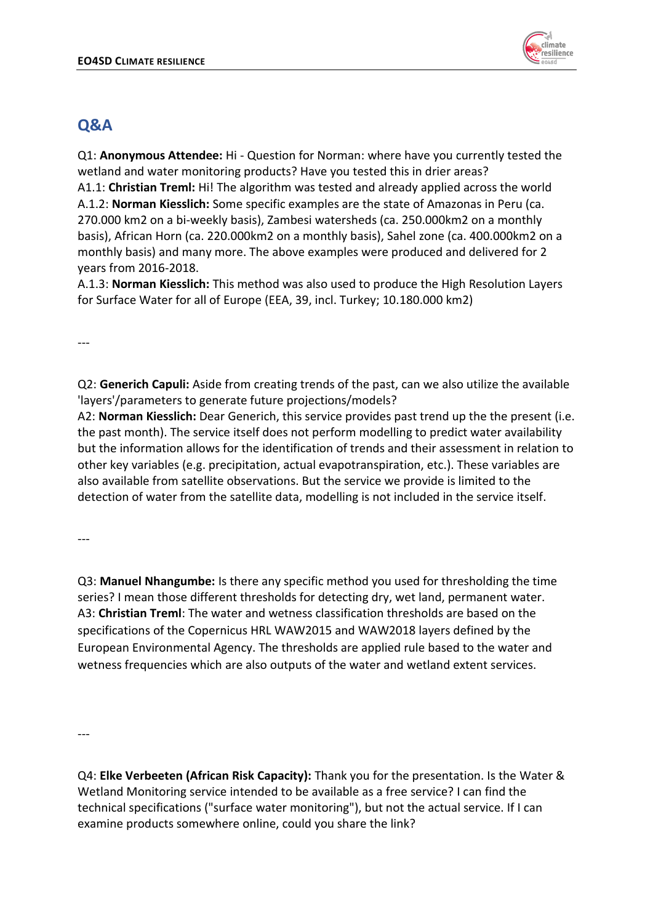

## **Q&A**

Q1: **Anonymous Attendee:** Hi - Question for Norman: where have you currently tested the wetland and water monitoring products? Have you tested this in drier areas?

A1.1: **Christian Treml:** Hi! The algorithm was tested and already applied across the world A.1.2: **Norman Kiesslich:** Some specific examples are the state of Amazonas in Peru (ca. 270.000 km2 on a bi-weekly basis), Zambesi watersheds (ca. 250.000km2 on a monthly basis), African Horn (ca. 220.000km2 on a monthly basis), Sahel zone (ca. 400.000km2 on a monthly basis) and many more. The above examples were produced and delivered for 2 years from 2016-2018.

A.1.3: **Norman Kiesslich:** This method was also used to produce the High Resolution Layers for Surface Water for all of Europe (EEA, 39, incl. Turkey; 10.180.000 km2)

---

Q2: **Generich Capuli:** Aside from creating trends of the past, can we also utilize the available 'layers'/parameters to generate future projections/models?

A2: **Norman Kiesslich:** Dear Generich, this service provides past trend up the the present (i.e. the past month). The service itself does not perform modelling to predict water availability but the information allows for the identification of trends and their assessment in relation to other key variables (e.g. precipitation, actual evapotranspiration, etc.). These variables are also available from satellite observations. But the service we provide is limited to the detection of water from the satellite data, modelling is not included in the service itself.

---

Q3: **Manuel Nhangumbe:** Is there any specific method you used for thresholding the time series? I mean those different thresholds for detecting dry, wet land, permanent water. A3: **Christian Treml**: The water and wetness classification thresholds are based on the specifications of the Copernicus HRL WAW2015 and WAW2018 layers defined by the European Environmental Agency. The thresholds are applied rule based to the water and wetness frequencies which are also outputs of the water and wetland extent services.

---

Q4: **Elke Verbeeten (African Risk Capacity):** Thank you for the presentation. Is the Water & Wetland Monitoring service intended to be available as a free service? I can find the technical specifications ("surface water monitoring"), but not the actual service. If I can examine products somewhere online, could you share the link?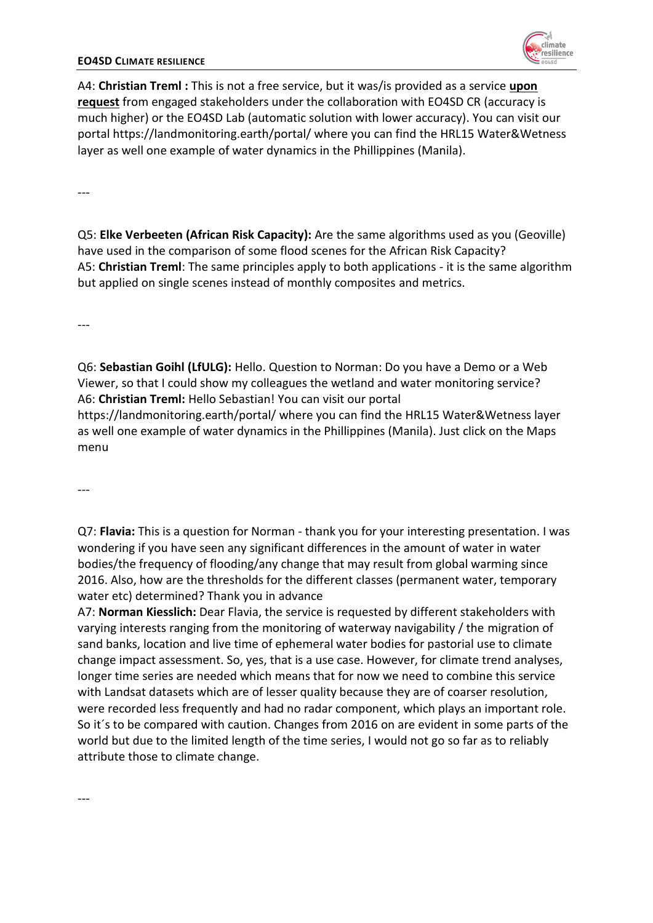#### **EO4SD CLIMATE RESILIENCE**

A4: **Christian Treml :** This is not a free service, but it was/is provided as a service **upon request** from engaged stakeholders under the collaboration with EO4SD CR (accuracy is much higher) or the EO4SD Lab (automatic solution with lower accuracy). You can visit our portal https://landmonitoring.earth/portal/ where you can find the HRL15 Water&Wetness layer as well one example of water dynamics in the Phillippines (Manila).

---

Q5: **Elke Verbeeten (African Risk Capacity):** Are the same algorithms used as you (Geoville) have used in the comparison of some flood scenes for the African Risk Capacity? A5: **Christian Treml**: The same principles apply to both applications - it is the same algorithm but applied on single scenes instead of monthly composites and metrics.

---

Q6: **Sebastian Goihl (LfULG):** Hello. Question to Norman: Do you have a Demo or a Web Viewer, so that I could show my colleagues the wetland and water monitoring service? A6: **Christian Treml:** Hello Sebastian! You can visit our portal

https://landmonitoring.earth/portal/ where you can find the HRL15 Water&Wetness layer as well one example of water dynamics in the Phillippines (Manila). Just click on the Maps menu

---

Q7: **Flavia:** This is a question for Norman - thank you for your interesting presentation. I was wondering if you have seen any significant differences in the amount of water in water bodies/the frequency of flooding/any change that may result from global warming since 2016. Also, how are the thresholds for the different classes (permanent water, temporary water etc) determined? Thank you in advance

A7: **Norman Kiesslich:** Dear Flavia, the service is requested by different stakeholders with varying interests ranging from the monitoring of waterway navigability / the migration of sand banks, location and live time of ephemeral water bodies for pastorial use to climate change impact assessment. So, yes, that is a use case. However, for climate trend analyses, longer time series are needed which means that for now we need to combine this service with Landsat datasets which are of lesser quality because they are of coarser resolution, were recorded less frequently and had no radar component, which plays an important role. So it´s to be compared with caution. Changes from 2016 on are evident in some parts of the world but due to the limited length of the time series, I would not go so far as to reliably attribute those to climate change.

---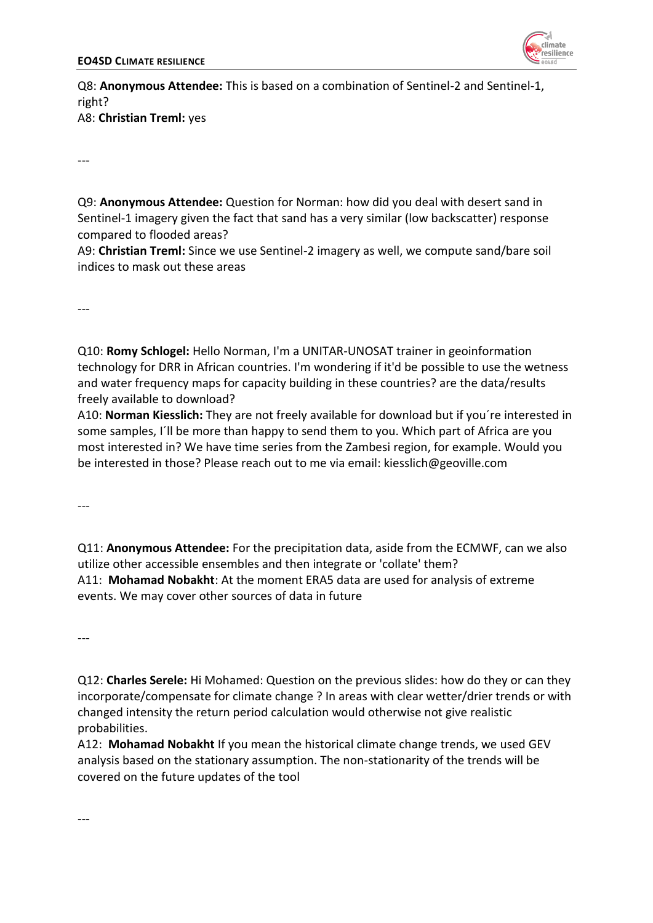

Q8: **Anonymous Attendee:** This is based on a combination of Sentinel-2 and Sentinel-1, right? A8: **Christian Treml:** yes

---

Q9: **Anonymous Attendee:** Question for Norman: how did you deal with desert sand in Sentinel-1 imagery given the fact that sand has a very similar (low backscatter) response compared to flooded areas?

A9: **Christian Treml:** Since we use Sentinel-2 imagery as well, we compute sand/bare soil indices to mask out these areas

---

Q10: **Romy Schlogel:** Hello Norman, I'm a UNITAR-UNOSAT trainer in geoinformation technology for DRR in African countries. I'm wondering if it'd be possible to use the wetness and water frequency maps for capacity building in these countries? are the data/results freely available to download?

A10: **Norman Kiesslich:** They are not freely available for download but if you´re interested in some samples, I´ll be more than happy to send them to you. Which part of Africa are you most interested in? We have time series from the Zambesi region, for example. Would you be interested in those? Please reach out to me via email: kiesslich@geoville.com

 $---$ 

Q11: **Anonymous Attendee:** For the precipitation data, aside from the ECMWF, can we also utilize other accessible ensembles and then integrate or 'collate' them? A11: **Mohamad Nobakht**: At the moment ERA5 data are used for analysis of extreme events. We may cover other sources of data in future

---

Q12: **Charles Serele:** Hi Mohamed: Question on the previous slides: how do they or can they incorporate/compensate for climate change ? In areas with clear wetter/drier trends or with changed intensity the return period calculation would otherwise not give realistic probabilities.

A12: **Mohamad Nobakht** If you mean the historical climate change trends, we used GEV analysis based on the stationary assumption. The non-stationarity of the trends will be covered on the future updates of the tool